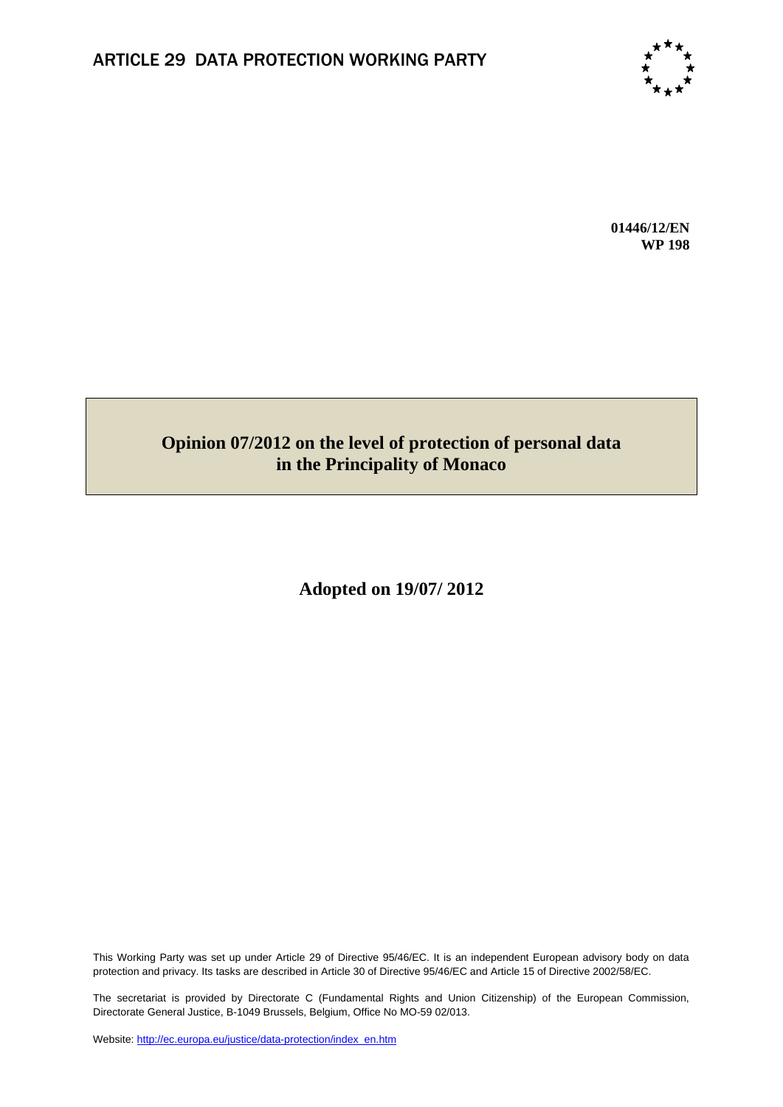

**01446/12/EN WP 198**

# **Opinion 07/2012 on the level of protection of personal data in the Principality of Monaco**

**Adopted on 19/07/ 2012**

This Working Party was set up under Article 29 of Directive 95/46/EC. It is an independent European advisory body on data protection and privacy. Its tasks are described in Article 30 of Directive 95/46/EC and Article 15 of Directive 2002/58/EC.

The secretariat is provided by Directorate C (Fundamental Rights and Union Citizenship) of the European Commission, Directorate General Justice, B-1049 Brussels, Belgium, Office No MO-59 02/013.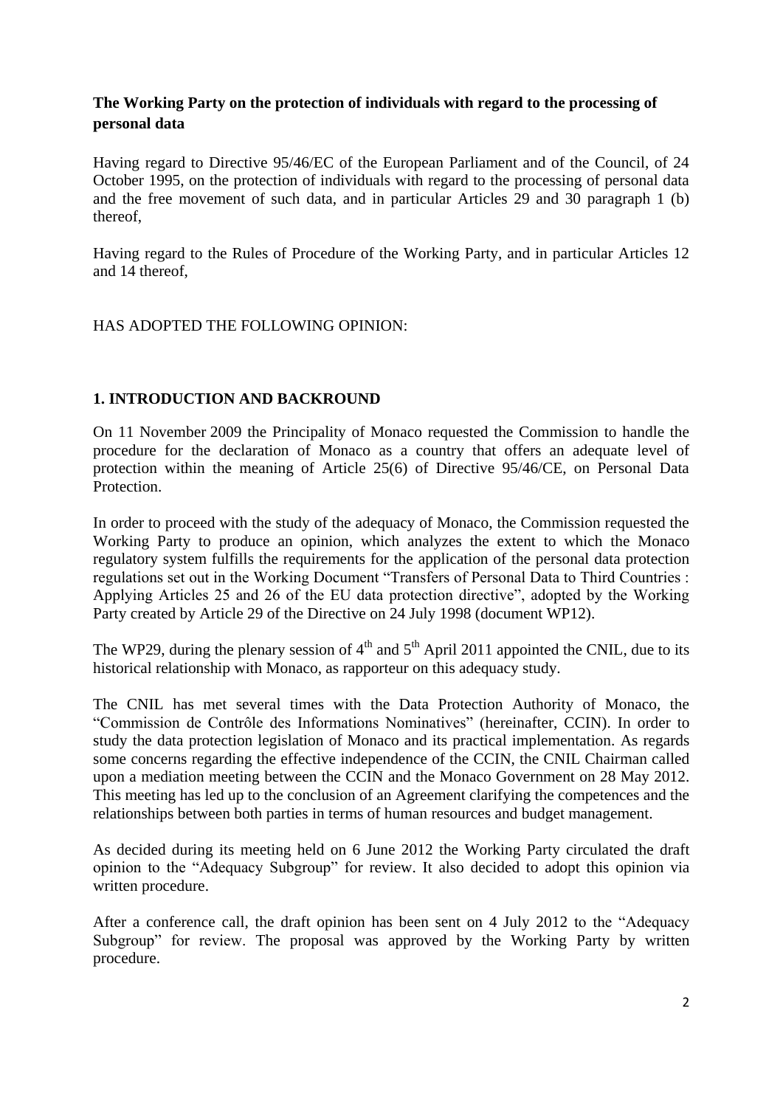# **The Working Party on the protection of individuals with regard to the processing of personal data**

Having regard to Directive 95/46/EC of the European Parliament and of the Council, of 24 October 1995, on the protection of individuals with regard to the processing of personal data and the free movement of such data, and in particular Articles 29 and 30 paragraph 1 (b) thereof,

Having regard to the Rules of Procedure of the Working Party, and in particular Articles 12 and 14 thereof,

HAS ADOPTED THE FOLLOWING OPINION:

## **1. INTRODUCTION AND BACKROUND**

On 11 November 2009 the Principality of Monaco requested the Commission to handle the procedure for the declaration of Monaco as a country that offers an adequate level of protection within the meaning of Article 25(6) of Directive 95/46/CE, on Personal Data Protection.

In order to proceed with the study of the adequacy of Monaco, the Commission requested the Working Party to produce an opinion, which analyzes the extent to which the Monaco regulatory system fulfills the requirements for the application of the personal data protection regulations set out in the Working Document "Transfers of Personal Data to Third Countries : Applying Articles 25 and 26 of the EU data protection directive", adopted by the Working Party created by Article 29 of the Directive on 24 July 1998 (document WP12).

The WP29, during the plenary session of  $4<sup>th</sup>$  and  $5<sup>th</sup>$  April 2011 appointed the CNIL, due to its historical relationship with Monaco, as rapporteur on this adequacy study.

The CNIL has met several times with the Data Protection Authority of Monaco, the "Commission de Contrôle des Informations Nominatives" (hereinafter, CCIN). In order to study the data protection legislation of Monaco and its practical implementation. As regards some concerns regarding the effective independence of the CCIN, the CNIL Chairman called upon a mediation meeting between the CCIN and the Monaco Government on 28 May 2012. This meeting has led up to the conclusion of an Agreement clarifying the competences and the relationships between both parties in terms of human resources and budget management.

As decided during its meeting held on 6 June 2012 the Working Party circulated the draft opinion to the "Adequacy Subgroup" for review. It also decided to adopt this opinion via written procedure.

After a conference call, the draft opinion has been sent on 4 July 2012 to the "Adequacy Subgroup" for review. The proposal was approved by the Working Party by written procedure.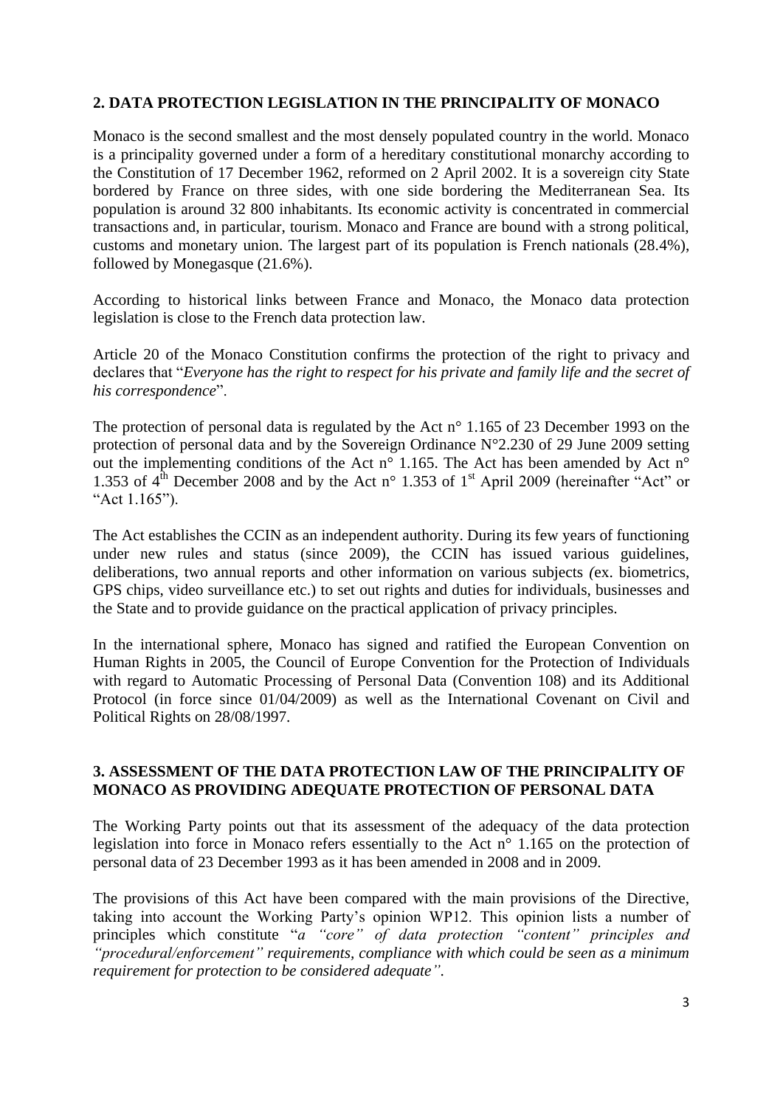## **2. DATA PROTECTION LEGISLATION IN THE PRINCIPALITY OF MONACO**

Monaco is the second smallest and the most densely populated country in the world. Monaco is a principality governed under a form of a hereditary constitutional monarchy according to the Constitution of 17 December 1962, reformed on 2 April 2002. It is a sovereign [city State](http://en.wikipedia.org/wiki/City_state) bordered by [France](http://en.wikipedia.org/wiki/France) on three sides, with one side bordering the [Mediterranean Sea.](http://en.wikipedia.org/wiki/Mediterranean_Sea) Its population is around 32 800 inhabitants. Its economic activity is concentrated in commercial transactions and, in particular, tourism. Monaco and France are bound with a strong political, customs and monetary union. The largest part of its population is French nationals (28.4%), followed by Monegasque (21.6%).

According to historical links between France and Monaco, the Monaco data protection legislation is close to the French data protection law.

Article 20 of the Monaco Constitution confirms the protection of the right to privacy and declares that "*Everyone has the right to respect for his private and family life and the secret of his correspondence*".

The protection of personal data is regulated by the Act n<sup>o</sup> 1.165 of 23 December 1993 on the protection of personal data and by the Sovereign Ordinance N°2.230 of 29 June 2009 setting out the implementing conditions of the Act  $n^{\circ}$  1.165. The Act has been amended by Act  $n^{\circ}$ 1.353 of  $4^{th}$  December 2008 and by the Act n° 1.353 of 1<sup>st</sup> April 2009 (hereinafter "Act" or "Act 1.165").

The Act establishes the CCIN as an independent authority. During its few years of functioning under new rules and status (since 2009), the CCIN has issued various guidelines, deliberations, two annual reports and other information on various subjects *(*ex. biometrics, GPS chips, video surveillance etc.) to set out rights and duties for individuals, businesses and the State and to provide guidance on the practical application of privacy principles.

In the international sphere, Monaco has signed and ratified the European Convention on Human Rights in 2005, the Council of Europe Convention for the Protection of Individuals with regard to Automatic Processing of Personal Data (Convention 108) and its Additional Protocol (in force since 01/04/2009) as well as the International Covenant on Civil and Political Rights on 28/08/1997.

#### **3. ASSESSMENT OF THE DATA PROTECTION LAW OF THE PRINCIPALITY OF MONACO AS PROVIDING ADEQUATE PROTECTION OF PERSONAL DATA**

The Working Party points out that its assessment of the adequacy of the data protection legislation into force in Monaco refers essentially to the Act n° 1.165 on the protection of personal data of 23 December 1993 as it has been amended in 2008 and in 2009.

The provisions of this Act have been compared with the main provisions of the Directive, taking into account the Working Party's opinion WP12. This opinion lists a number of principles which constitute "*a "core" of data protection "content" principles and "procedural/enforcement" requirements, compliance with which could be seen as a minimum requirement for protection to be considered adequate"*.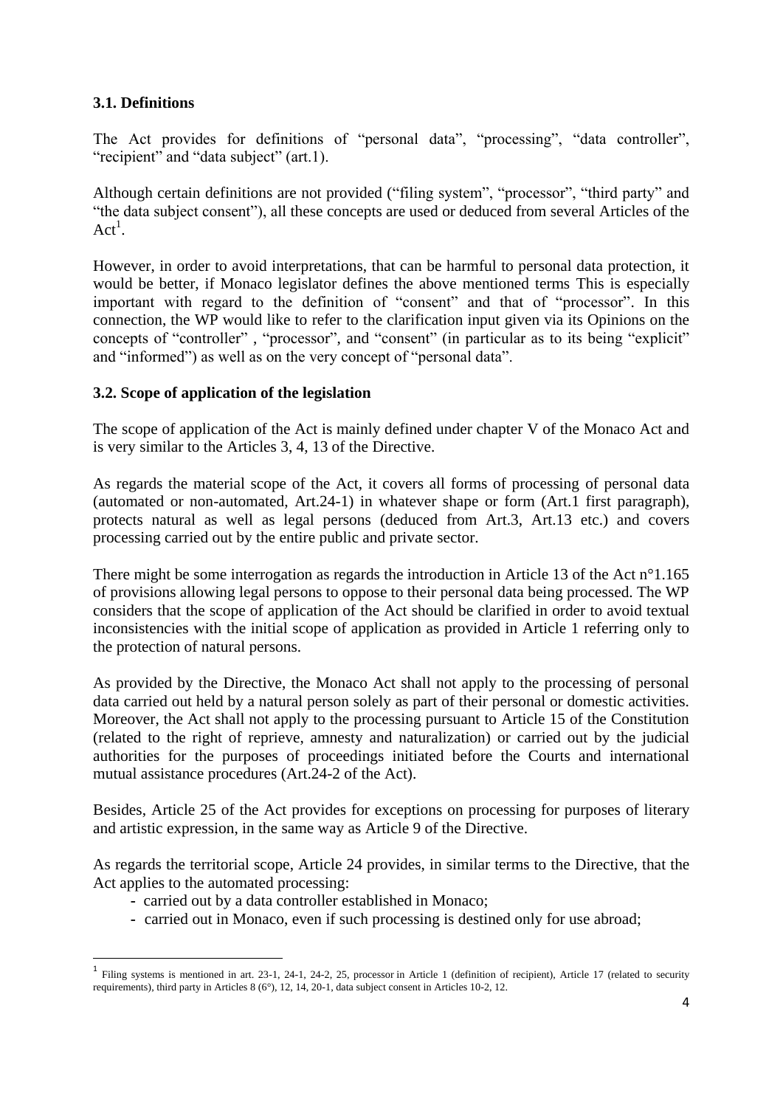## **3.1. Definitions**

1

The Act provides for definitions of "personal data", "processing", "data controller", "recipient" and "data subject" (art.1).

Although certain definitions are not provided ("filing system", "processor", "third party" and "the data subject consent"), all these concepts are used or deduced from several Articles of the  $Act^1$ .

However, in order to avoid interpretations, that can be harmful to personal data protection, it would be better, if Monaco legislator defines the above mentioned terms This is especially important with regard to the definition of "consent" and that of "processor". In this connection, the WP would like to refer to the clarification input given via its Opinions on the concepts of "controller" , "processor", and "consent" (in particular as to its being "explicit" and "informed") as well as on the very concept of "personal data".

#### **3.2. Scope of application of the legislation**

The scope of application of the Act is mainly defined under chapter V of the Monaco Act and is very similar to the Articles 3, 4, 13 of the Directive.

As regards the material scope of the Act, it covers all forms of processing of personal data (automated or non-automated, Art.24-1) in whatever shape or form (Art.1 first paragraph), protects natural as well as legal persons (deduced from Art.3, Art.13 etc.) and covers processing carried out by the entire public and private sector.

There might be some interrogation as regards the introduction in Article 13 of the Act  $n^{\circ}1.165$ of provisions allowing legal persons to oppose to their personal data being processed. The WP considers that the scope of application of the Act should be clarified in order to avoid textual inconsistencies with the initial scope of application as provided in Article 1 referring only to the protection of natural persons.

As provided by the Directive, the Monaco Act shall not apply to the processing of personal data carried out held by a natural person solely as part of their personal or domestic activities. Moreover, the Act shall not apply to the processing pursuant to Article 15 of the Constitution (related to the right of reprieve, amnesty and naturalization) or carried out by the judicial authorities for the purposes of proceedings initiated before the Courts and international mutual assistance procedures (Art.24-2 of the Act).

Besides, Article 25 of the Act provides for exceptions on processing for purposes of literary and artistic expression, in the same way as Article 9 of the Directive.

As regards the territorial scope, Article 24 provides, in similar terms to the Directive, that the Act applies to the automated processing:

- **-** carried out by a data controller established in Monaco;
- **-** carried out in Monaco, even if such processing is destined only for use abroad;

<sup>&</sup>lt;sup>1</sup> Filing systems is mentioned in art. 23-1, 24-1, 24-2, 25, processor in Article 1 (definition of recipient), Article 17 (related to security requirements), third party in Articles 8 (6°), 12, 14, 20-1, data subject consent in Articles 10-2, 12.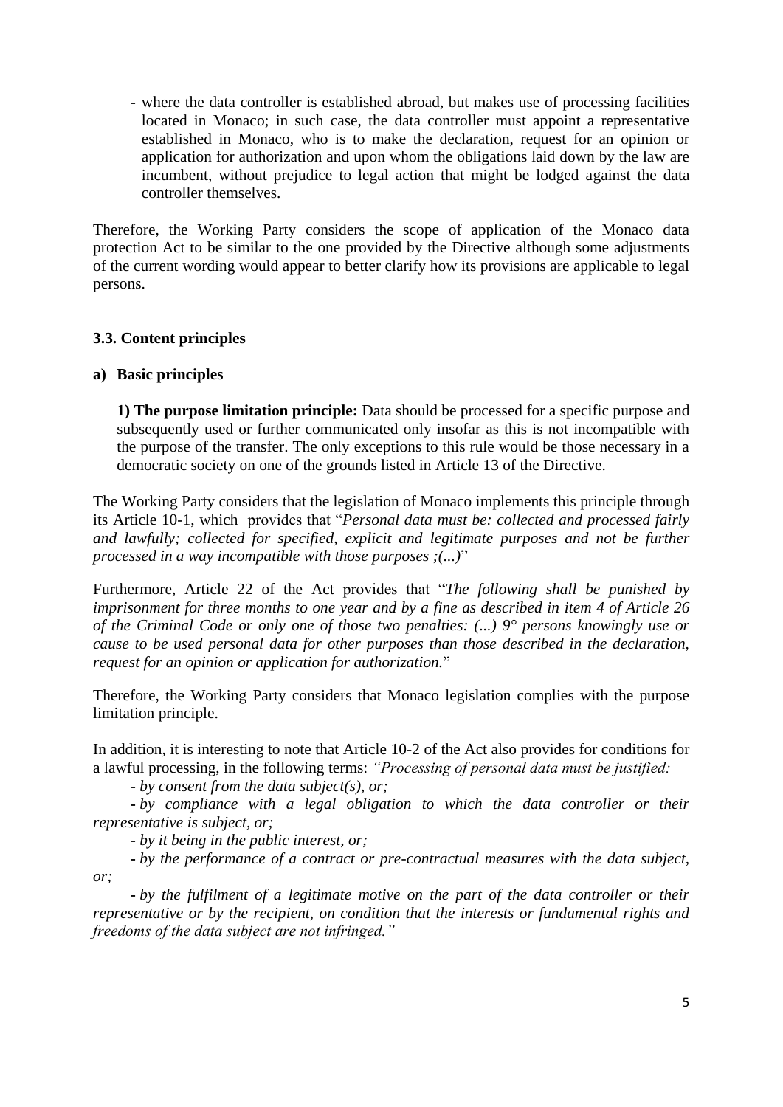**-** where the data controller is established abroad, but makes use of processing facilities located in Monaco; in such case, the data controller must appoint a representative established in Monaco, who is to make the declaration, request for an opinion or application for authorization and upon whom the obligations laid down by the law are incumbent, without prejudice to legal action that might be lodged against the data controller themselves.

Therefore, the Working Party considers the scope of application of the Monaco data protection Act to be similar to the one provided by the Directive although some adjustments of the current wording would appear to better clarify how its provisions are applicable to legal persons.

## **3.3. Content principles**

## **a) Basic principles**

**1) The purpose limitation principle:** Data should be processed for a specific purpose and subsequently used or further communicated only insofar as this is not incompatible with the purpose of the transfer. The only exceptions to this rule would be those necessary in a democratic society on one of the grounds listed in Article 13 of the Directive.

The Working Party considers that the legislation of Monaco implements this principle through its Article 10-1, which provides that "*Personal data must be: collected and processed fairly*  and lawfully; collected for specified, explicit and legitimate purposes and not be further *processed in a way incompatible with those purposes ;(...)*"

Furthermore, Article 22 of the Act provides that "*The following shall be punished by imprisonment for three months to one year and by a fine as described in item 4 of Article 26 of the Criminal Code or only one of those two penalties: (...) 9° persons knowingly use or cause to be used personal data for other purposes than those described in the declaration, request for an opinion or application for authorization.*"

Therefore, the Working Party considers that Monaco legislation complies with the purpose limitation principle.

In addition, it is interesting to note that Article 10-2 of the Act also provides for conditions for a lawful processing, in the following terms: *"Processing of personal data must be justified:*

**-** *by consent from the data subject(s), or;*

**-** *by compliance with a legal obligation to which the data controller or their representative is subject, or;*

**-** *by it being in the public interest, or;*

**-** *by the performance of a contract or pre-contractual measures with the data subject, or;*

**-** *by the fulfilment of a legitimate motive on the part of the data controller or their representative or by the recipient, on condition that the interests or fundamental rights and freedoms of the data subject are not infringed."*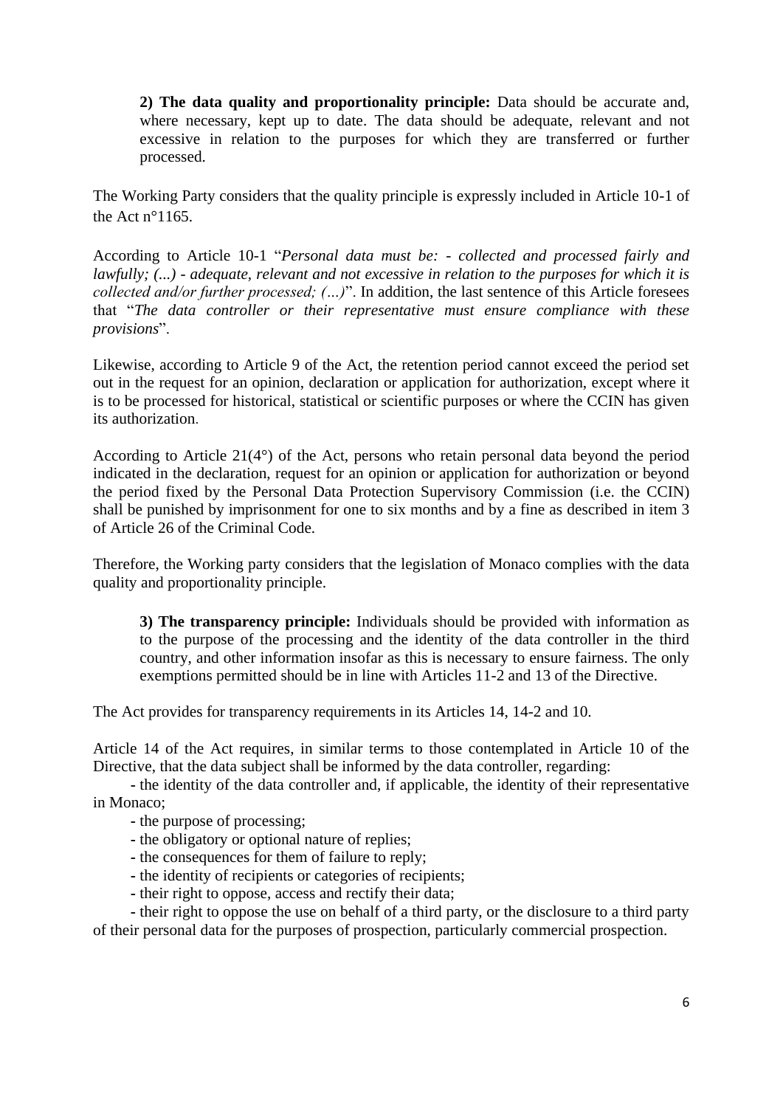**2) The data quality and proportionality principle:** Data should be accurate and, where necessary, kept up to date. The data should be adequate, relevant and not excessive in relation to the purposes for which they are transferred or further processed.

The Working Party considers that the quality principle is expressly included in Article 10-1 of the Act n°1165.

According to Article 10-1 "*Personal data must be: - collected and processed fairly and lawfully; (...) - adequate, relevant and not excessive in relation to the purposes for which it is collected and/or further processed; (…)*". In addition, the last sentence of this Article foresees that "*The data controller or their representative must ensure compliance with these provisions*".

Likewise, according to Article 9 of the Act, the retention period cannot exceed the period set out in the request for an opinion, declaration or application for authorization, except where it is to be processed for historical, statistical or scientific purposes or where the CCIN has given its authorization.

According to Article 21(4°) of the Act, persons who retain personal data beyond the period indicated in the declaration, request for an opinion or application for authorization or beyond the period fixed by the Personal Data Protection Supervisory Commission (i.e. the CCIN) shall be punished by imprisonment for one to six months and by a fine as described in item 3 of Article 26 of the Criminal Code.

Therefore, the Working party considers that the legislation of Monaco complies with the data quality and proportionality principle.

**3) The transparency principle:** Individuals should be provided with information as to the purpose of the processing and the identity of the data controller in the third country, and other information insofar as this is necessary to ensure fairness. The only exemptions permitted should be in line with Articles 11-2 and 13 of the Directive.

The Act provides for transparency requirements in its Articles 14, 14-2 and 10.

Article 14 of the Act requires, in similar terms to those contemplated in Article 10 of the Directive, that the data subject shall be informed by the data controller, regarding:

**-** the identity of the data controller and, if applicable, the identity of their representative in Monaco;

- **-** the purpose of processing;
- **-** the obligatory or optional nature of replies;
- **-** the consequences for them of failure to reply;
- **-** the identity of recipients or categories of recipients;
- **-** their right to oppose, access and rectify their data;

**-** their right to oppose the use on behalf of a third party, or the disclosure to a third party of their personal data for the purposes of prospection, particularly commercial prospection.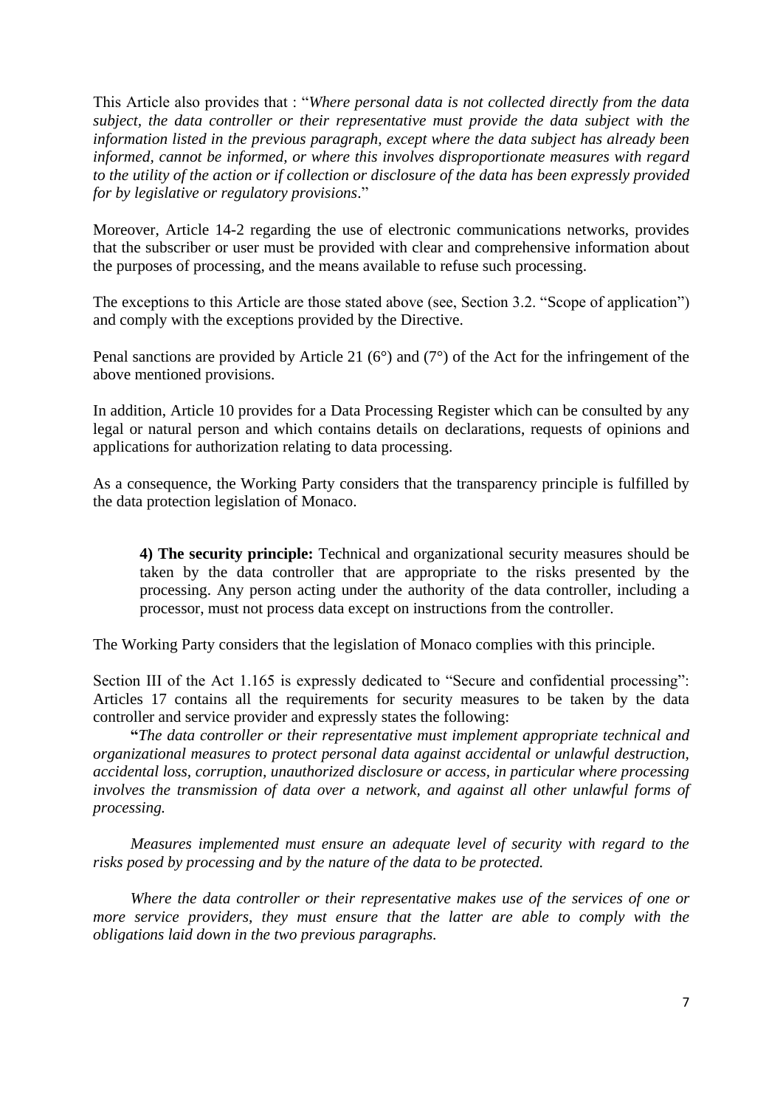This Article also provides that : "*Where personal data is not collected directly from the data subject, the data controller or their representative must provide the data subject with the information listed in the previous paragraph, except where the data subject has already been informed, cannot be informed, or where this involves disproportionate measures with regard to the utility of the action or if collection or disclosure of the data has been expressly provided for by legislative or regulatory provisions*."

Moreover, Article 14-2 regarding the use of electronic communications networks, provides that the subscriber or user must be provided with clear and comprehensive information about the purposes of processing, and the means available to refuse such processing.

The exceptions to this Article are those stated above (see, Section 3.2. "Scope of application") and comply with the exceptions provided by the Directive.

Penal sanctions are provided by Article 21 (6°) and (7°) of the Act for the infringement of the above mentioned provisions.

In addition, Article 10 provides for a Data Processing Register which can be consulted by any legal or natural person and which contains details on declarations, requests of opinions and applications for authorization relating to data processing.

As a consequence, the Working Party considers that the transparency principle is fulfilled by the data protection legislation of Monaco.

**4) The security principle:** Technical and organizational security measures should be taken by the data controller that are appropriate to the risks presented by the processing. Any person acting under the authority of the data controller, including a processor, must not process data except on instructions from the controller.

The Working Party considers that the legislation of Monaco complies with this principle.

Section III of the Act 1.165 is expressly dedicated to "Secure and confidential processing": Articles 17 contains all the requirements for security measures to be taken by the data controller and service provider and expressly states the following:

**"***The data controller or their representative must implement appropriate technical and organizational measures to protect personal data against accidental or unlawful destruction, accidental loss, corruption, unauthorized disclosure or access, in particular where processing involves the transmission of data over a network, and against all other unlawful forms of processing.*

*Measures implemented must ensure an adequate level of security with regard to the risks posed by processing and by the nature of the data to be protected.*

*Where the data controller or their representative makes use of the services of one or more service providers, they must ensure that the latter are able to comply with the obligations laid down in the two previous paragraphs.*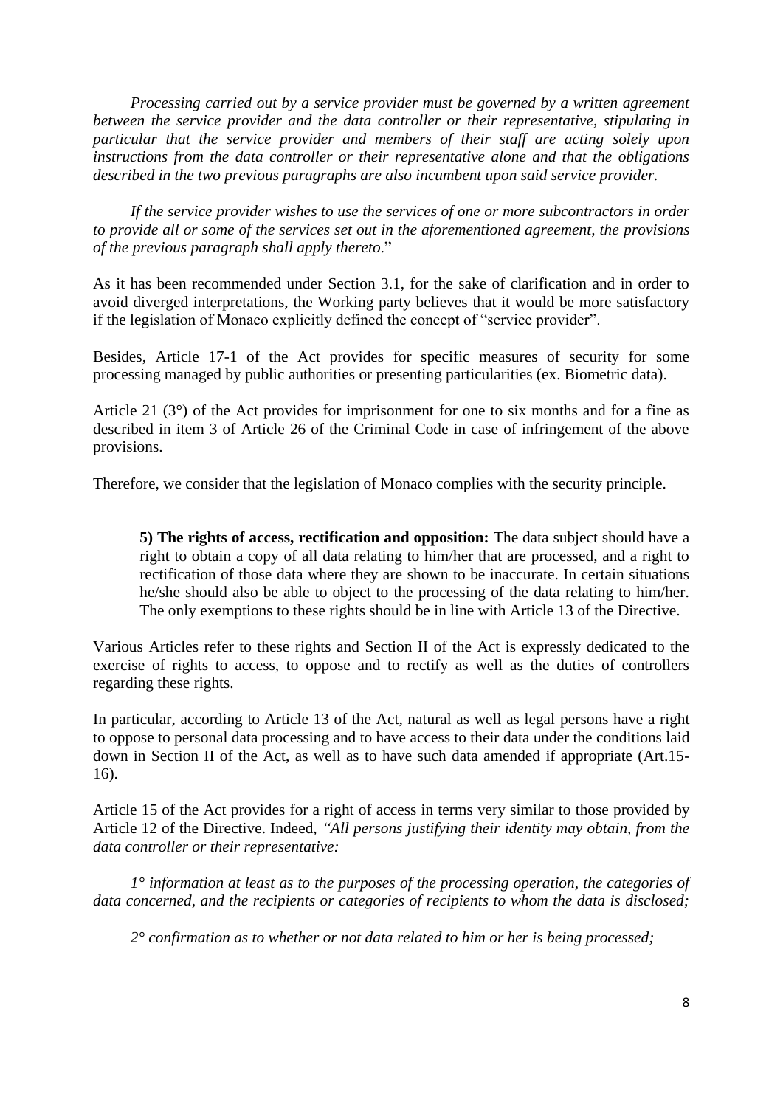*Processing carried out by a service provider must be governed by a written agreement between the service provider and the data controller or their representative, stipulating in particular that the service provider and members of their staff are acting solely upon instructions from the data controller or their representative alone and that the obligations described in the two previous paragraphs are also incumbent upon said service provider.*

*If the service provider wishes to use the services of one or more subcontractors in order to provide all or some of the services set out in the aforementioned agreement, the provisions of the previous paragraph shall apply thereto*."

As it has been recommended under Section 3.1, for the sake of clarification and in order to avoid diverged interpretations, the Working party believes that it would be more satisfactory if the legislation of Monaco explicitly defined the concept of "service provider".

Besides, Article 17-1 of the Act provides for specific measures of security for some processing managed by public authorities or presenting particularities (ex. Biometric data).

Article 21 (3°) of the Act provides for imprisonment for one to six months and for a fine as described in item 3 of Article 26 of the Criminal Code in case of infringement of the above provisions.

Therefore, we consider that the legislation of Monaco complies with the security principle.

**5) The rights of access, rectification and opposition:** The data subject should have a right to obtain a copy of all data relating to him/her that are processed, and a right to rectification of those data where they are shown to be inaccurate. In certain situations he/she should also be able to object to the processing of the data relating to him/her. The only exemptions to these rights should be in line with Article 13 of the Directive.

Various Articles refer to these rights and Section II of the Act is expressly dedicated to the exercise of rights to access, to oppose and to rectify as well as the duties of controllers regarding these rights.

In particular, according to Article 13 of the Act, natural as well as legal persons have a right to oppose to personal data processing and to have access to their data under the conditions laid down in Section II of the Act, as well as to have such data amended if appropriate (Art.15- 16).

Article 15 of the Act provides for a right of access in terms very similar to those provided by Article 12 of the Directive. Indeed, *"All persons justifying their identity may obtain, from the data controller or their representative:*

*1° information at least as to the purposes of the processing operation, the categories of data concerned, and the recipients or categories of recipients to whom the data is disclosed;*

*2° confirmation as to whether or not data related to him or her is being processed;*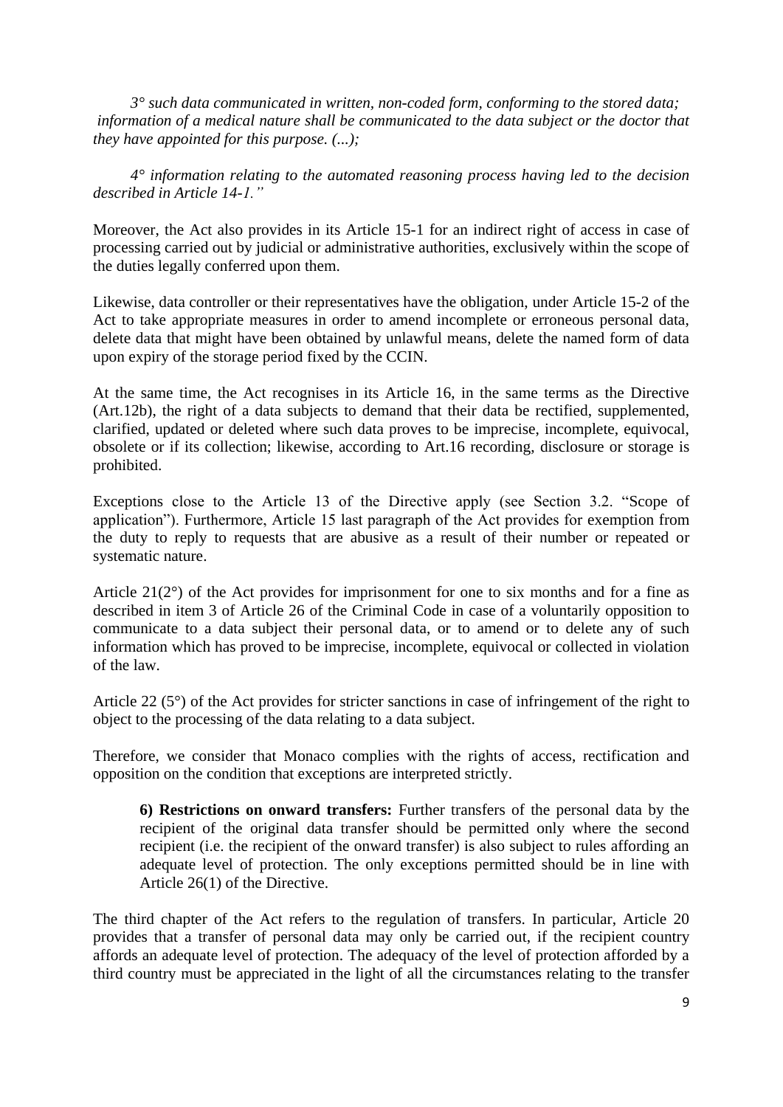*3° such data communicated in written, non-coded form, conforming to the stored data; information of a medical nature shall be communicated to the data subject or the doctor that they have appointed for this purpose. (...);*

*4° information relating to the automated reasoning process having led to the decision described in Article 14-1."*

Moreover, the Act also provides in its Article 15-1 for an indirect right of access in case of processing carried out by judicial or administrative authorities, exclusively within the scope of the duties legally conferred upon them.

Likewise, data controller or their representatives have the obligation, under Article 15-2 of the Act to take appropriate measures in order to amend incomplete or erroneous personal data, delete data that might have been obtained by unlawful means, delete the named form of data upon expiry of the storage period fixed by the CCIN.

At the same time, the Act recognises in its Article 16, in the same terms as the Directive (Art.12b), the right of a data subjects to demand that their data be rectified, supplemented, clarified, updated or deleted where such data proves to be imprecise, incomplete, equivocal, obsolete or if its collection; likewise, according to Art.16 recording, disclosure or storage is prohibited.

Exceptions close to the Article 13 of the Directive apply (see Section 3.2. "Scope of application"). Furthermore, Article 15 last paragraph of the Act provides for exemption from the duty to reply to requests that are abusive as a result of their number or repeated or systematic nature.

Article  $21(2^{\circ})$  of the Act provides for imprisonment for one to six months and for a fine as described in item 3 of Article 26 of the Criminal Code in case of a voluntarily opposition to communicate to a data subject their personal data, or to amend or to delete any of such information which has proved to be imprecise, incomplete, equivocal or collected in violation of the law.

Article 22 (5°) of the Act provides for stricter sanctions in case of infringement of the right to object to the processing of the data relating to a data subject.

Therefore, we consider that Monaco complies with the rights of access, rectification and opposition on the condition that exceptions are interpreted strictly.

**6) Restrictions on onward transfers:** Further transfers of the personal data by the recipient of the original data transfer should be permitted only where the second recipient (i.e. the recipient of the onward transfer) is also subject to rules affording an adequate level of protection. The only exceptions permitted should be in line with Article 26(1) of the Directive.

The third chapter of the Act refers to the regulation of transfers. In particular, Article 20 provides that a transfer of personal data may only be carried out, if the recipient country affords an adequate level of protection. The adequacy of the level of protection afforded by a third country must be appreciated in the light of all the circumstances relating to the transfer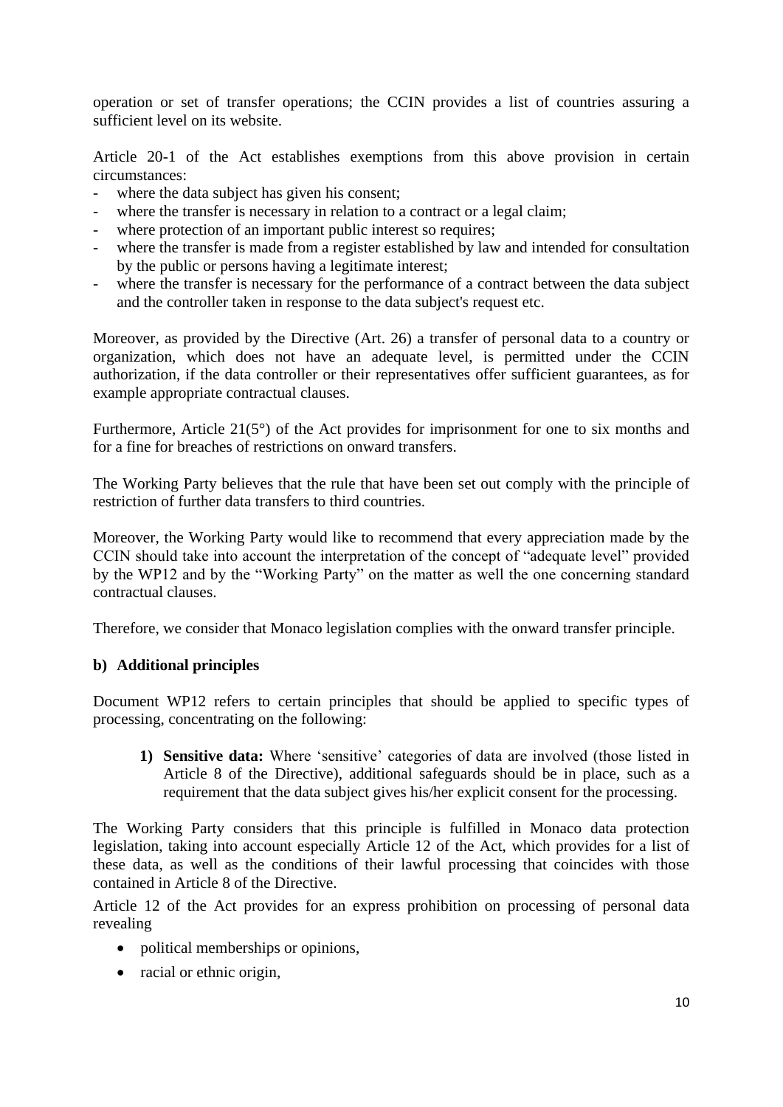operation or set of transfer operations; the CCIN provides a list of countries assuring a sufficient level on its website.

Article 20-1 of the Act establishes exemptions from this above provision in certain circumstances:

- where the data subject has given his consent;
- where the transfer is necessary in relation to a contract or a legal claim;
- where protection of an important public interest so requires;
- where the transfer is made from a register established by law and intended for consultation by the public or persons having a legitimate interest;
- where the transfer is necessary for the performance of a contract between the data subject and the controller taken in response to the data subject's request etc.

Moreover, as provided by the Directive (Art. 26) a transfer of personal data to a country or organization, which does not have an adequate level, is permitted under the CCIN authorization, if the data controller or their representatives offer sufficient guarantees, as for example appropriate contractual clauses.

Furthermore, Article 21(5°) of the Act provides for imprisonment for one to six months and for a fine for breaches of restrictions on onward transfers.

The Working Party believes that the rule that have been set out comply with the principle of restriction of further data transfers to third countries.

Moreover, the Working Party would like to recommend that every appreciation made by the CCIN should take into account the interpretation of the concept of "adequate level" provided by the WP12 and by the "Working Party" on the matter as well the one concerning standard contractual clauses.

Therefore, we consider that Monaco legislation complies with the onward transfer principle.

#### **b) Additional principles**

Document WP12 refers to certain principles that should be applied to specific types of processing, concentrating on the following:

**1) Sensitive data:** Where 'sensitive' categories of data are involved (those listed in Article 8 of the Directive), additional safeguards should be in place, such as a requirement that the data subject gives his/her explicit consent for the processing.

The Working Party considers that this principle is fulfilled in Monaco data protection legislation, taking into account especially Article 12 of the Act, which provides for a list of these data, as well as the conditions of their lawful processing that coincides with those contained in Article 8 of the Directive.

Article 12 of the Act provides for an express prohibition on processing of personal data revealing

- political memberships or opinions,
- racial or ethnic origin,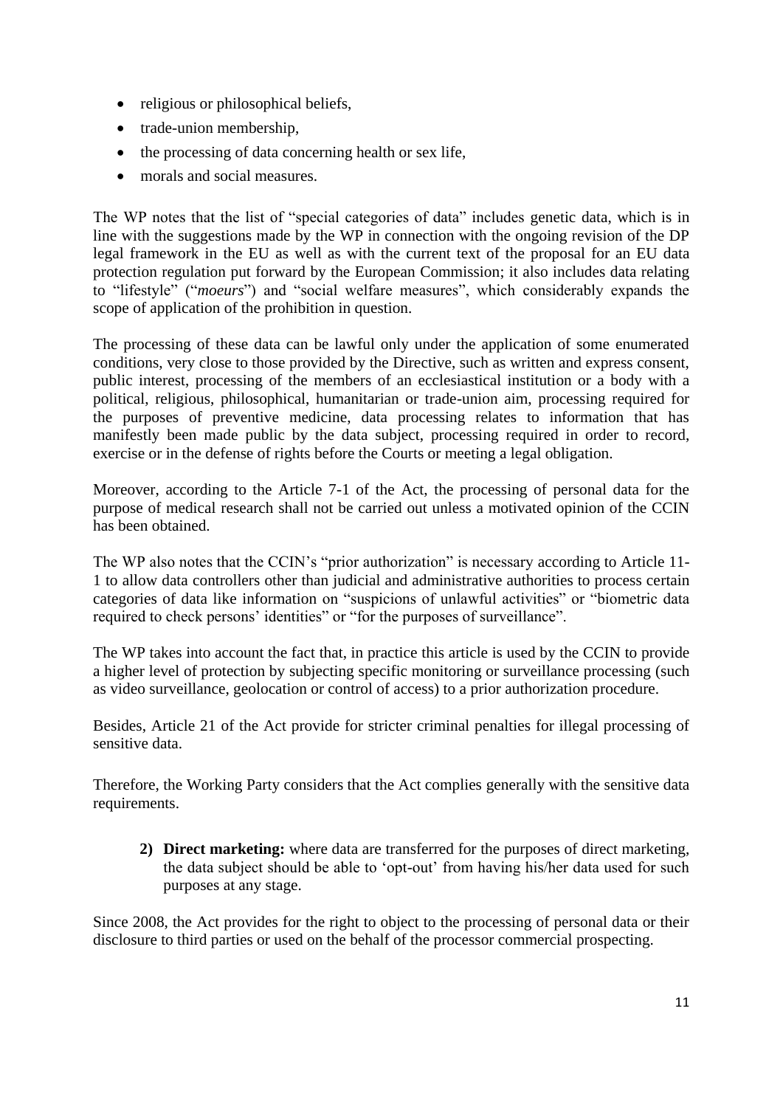- religious or philosophical beliefs,
- trade-union membership,
- $\bullet$  the processing of data concerning health or sex life,
- morals and social measures.

The WP notes that the list of "special categories of data" includes genetic data, which is in line with the suggestions made by the WP in connection with the ongoing revision of the DP legal framework in the EU as well as with the current text of the proposal for an EU data protection regulation put forward by the European Commission; it also includes data relating to "lifestyle" ("*moeurs*") and "social welfare measures", which considerably expands the scope of application of the prohibition in question.

The processing of these data can be lawful only under the application of some enumerated conditions, very close to those provided by the Directive, such as written and express consent, public interest, processing of the members of an ecclesiastical institution or a body with a political, religious, philosophical, humanitarian or trade-union aim, processing required for the purposes of preventive medicine, data processing relates to information that has manifestly been made public by the data subject, processing required in order to record, exercise or in the defense of rights before the Courts or meeting a legal obligation.

Moreover, according to the Article 7-1 of the Act, the processing of personal data for the purpose of medical research shall not be carried out unless a motivated opinion of the CCIN has been obtained.

The WP also notes that the CCIN's "prior authorization" is necessary according to Article 11- 1 to allow data controllers other than judicial and administrative authorities to process certain categories of data like information on "suspicions of unlawful activities" or "biometric data required to check persons' identities" or "for the purposes of surveillance".

The WP takes into account the fact that, in practice this article is used by the CCIN to provide a higher level of protection by subjecting specific monitoring or surveillance processing (such as video surveillance, geolocation or control of access) to a prior authorization procedure.

Besides, Article 21 of the Act provide for stricter criminal penalties for illegal processing of sensitive data.

Therefore, the Working Party considers that the Act complies generally with the sensitive data requirements.

**2) Direct marketing:** where data are transferred for the purposes of direct marketing, the data subject should be able to 'opt-out' from having his/her data used for such purposes at any stage.

Since 2008, the Act provides for the right to object to the processing of personal data or their disclosure to third parties or used on the behalf of the processor commercial prospecting.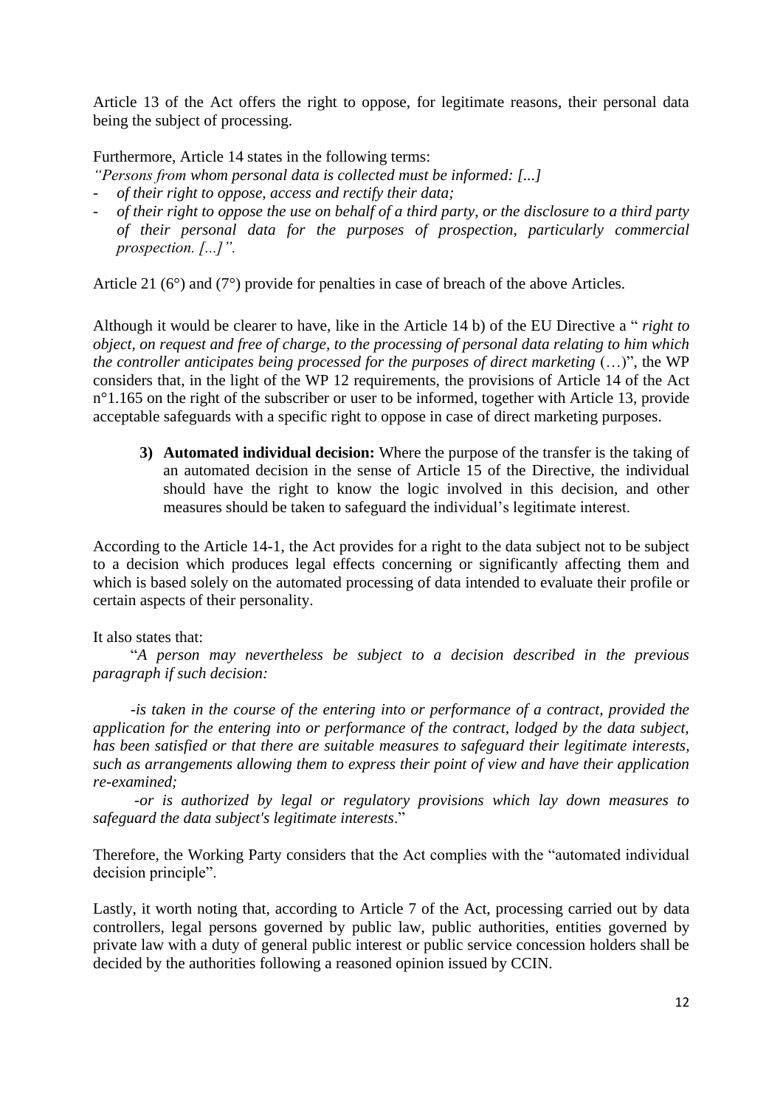Article 13 of the Act offers the right to oppose, for legitimate reasons, their personal data being the subject of processing.

Furthermore, Article 14 states in the following terms:

*"Persons from whom personal data is collected must be informed: [...]*

- *of their right to oppose, access and rectify their data;*
- *of their right to oppose the use on behalf of a third party, or the disclosure to a third party of their personal data for the purposes of prospection, particularly commercial prospection. [...]".*

Article 21 (6°) and (7°) provide for penalties in case of breach of the above Articles.

Although it would be clearer to have, like in the Article 14 b) of the EU Directive a " *right to object, on request and free of charge, to the processing of personal data relating to him which the controller anticipates being processed for the purposes of direct marketing* (…)", the WP considers that, in the light of the WP 12 requirements, the provisions of Article 14 of the Act  $n^{\circ}1.165$  on the right of the subscriber or user to be informed, together with Article 13, provide acceptable safeguards with a specific right to oppose in case of direct marketing purposes.

**3) Automated individual decision:** Where the purpose of the transfer is the taking of an automated decision in the sense of Article 15 of the Directive, the individual should have the right to know the logic involved in this decision, and other measures should be taken to safeguard the individual's legitimate interest.

According to the Article 14-1, the Act provides for a right to the data subject not to be subject to a decision which produces legal effects concerning or significantly affecting them and which is based solely on the automated processing of data intended to evaluate their profile or certain aspects of their personality.

It also states that:

"*A person may nevertheless be subject to a decision described in the previous paragraph if such decision:* 

*-is taken in the course of the entering into or performance of a contract, provided the application for the entering into or performance of the contract, lodged by the data subject, has been satisfied or that there are suitable measures to safeguard their legitimate interests, such as arrangements allowing them to express their point of view and have their application re-examined;*

*-or is authorized by legal or regulatory provisions which lay down measures to safeguard the data subject's legitimate interests*."

Therefore, the Working Party considers that the Act complies with the "automated individual decision principle".

Lastly, it worth noting that, according to Article 7 of the Act, processing carried out by data controllers, legal persons governed by public law, public authorities, entities governed by private law with a duty of general public interest or public service concession holders shall be decided by the authorities following a reasoned opinion issued by CCIN.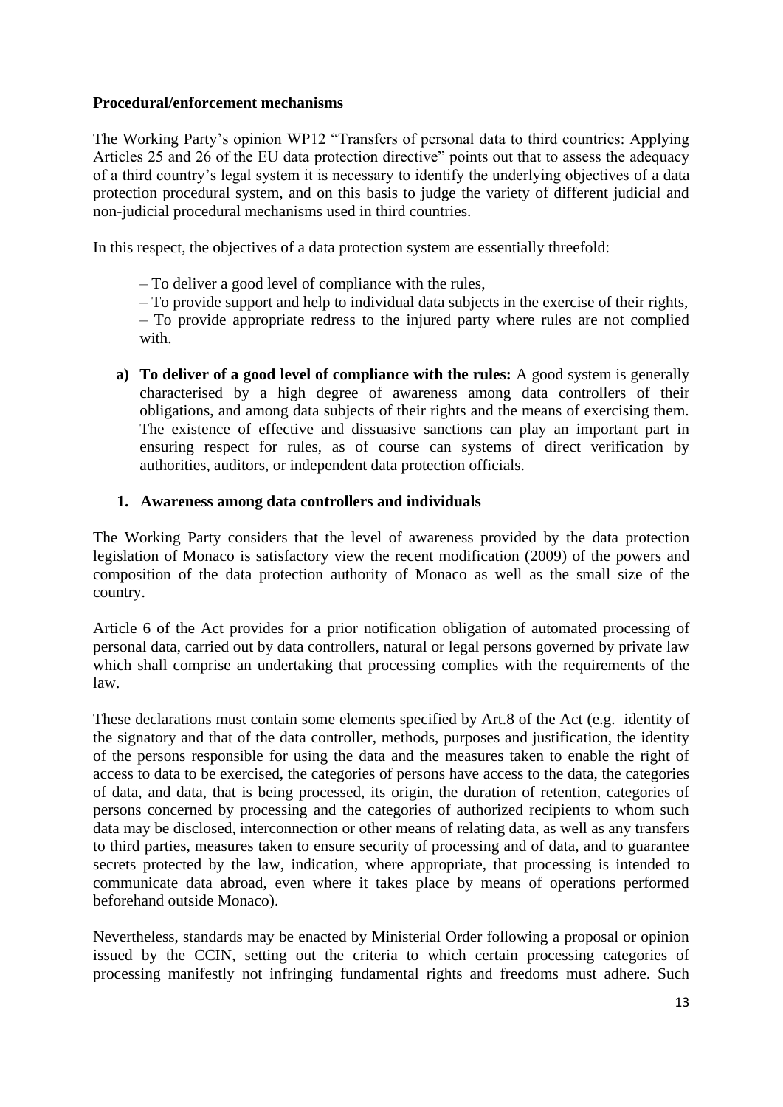#### **Procedural/enforcement mechanisms**

The Working Party's opinion WP12 "Transfers of personal data to third countries: Applying Articles 25 and 26 of the EU data protection directive" points out that to assess the adequacy of a third country's legal system it is necessary to identify the underlying objectives of a data protection procedural system, and on this basis to judge the variety of different judicial and non-judicial procedural mechanisms used in third countries.

In this respect, the objectives of a data protection system are essentially threefold:

– To deliver a good level of compliance with the rules,

– To provide support and help to individual data subjects in the exercise of their rights,

– To provide appropriate redress to the injured party where rules are not complied with.

**a) To deliver of a good level of compliance with the rules:** A good system is generally characterised by a high degree of awareness among data controllers of their obligations, and among data subjects of their rights and the means of exercising them. The existence of effective and dissuasive sanctions can play an important part in ensuring respect for rules, as of course can systems of direct verification by authorities, auditors, or independent data protection officials.

## **1. Awareness among data controllers and individuals**

The Working Party considers that the level of awareness provided by the data protection legislation of Monaco is satisfactory view the recent modification (2009) of the powers and composition of the data protection authority of Monaco as well as the small size of the country.

Article 6 of the Act provides for a prior notification obligation of automated processing of personal data, carried out by data controllers, natural or legal persons governed by private law which shall comprise an undertaking that processing complies with the requirements of the law.

These declarations must contain some elements specified by Art.8 of the Act (e.g. identity of the signatory and that of the data controller, methods, purposes and justification, the identity of the persons responsible for using the data and the measures taken to enable the right of access to data to be exercised, the categories of persons have access to the data, the categories of data, and data, that is being processed, its origin, the duration of retention, categories of persons concerned by processing and the categories of authorized recipients to whom such data may be disclosed, interconnection or other means of relating data, as well as any transfers to third parties, measures taken to ensure security of processing and of data, and to guarantee secrets protected by the law, indication, where appropriate, that processing is intended to communicate data abroad, even where it takes place by means of operations performed beforehand outside Monaco).

Nevertheless, standards may be enacted by Ministerial Order following a proposal or opinion issued by the CCIN, setting out the criteria to which certain processing categories of processing manifestly not infringing fundamental rights and freedoms must adhere. Such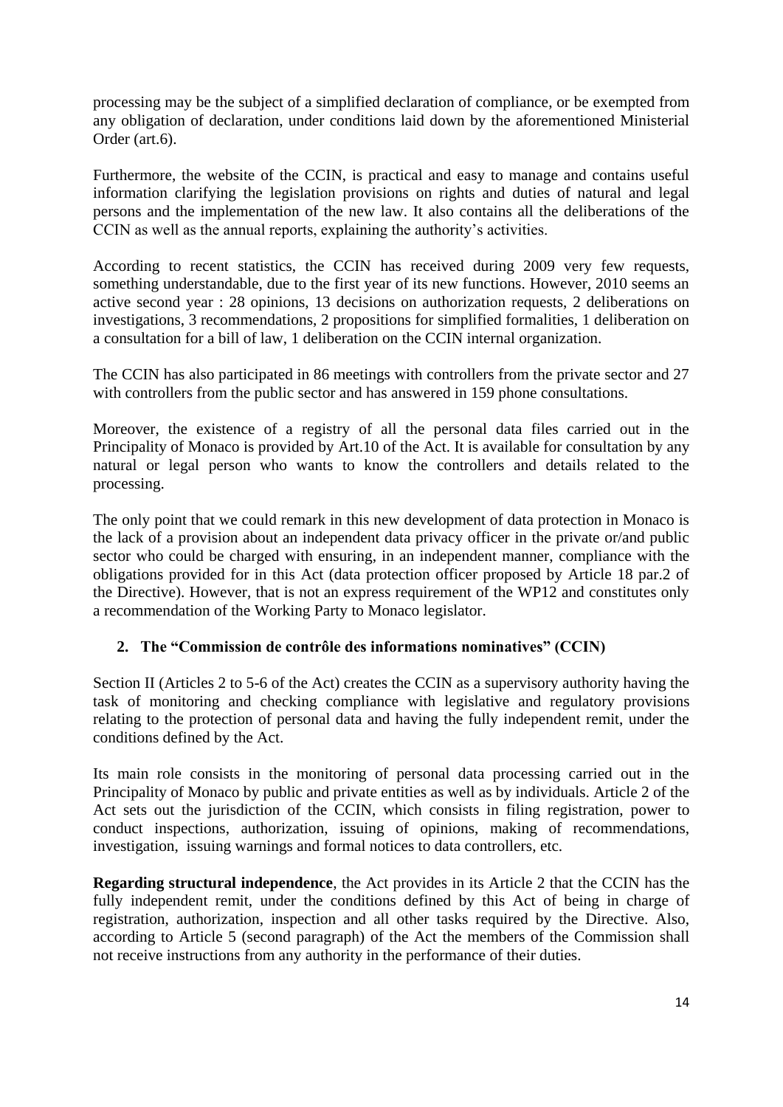processing may be the subject of a simplified declaration of compliance, or be exempted from any obligation of declaration, under conditions laid down by the aforementioned Ministerial Order (art.6).

Furthermore, the website of the CCIN, is practical and easy to manage and contains useful information clarifying the legislation provisions on rights and duties of natural and legal persons and the implementation of the new law. It also contains all the deliberations of the CCIN as well as the annual reports, explaining the authority's activities.

According to recent statistics, the CCIN has received during 2009 very few requests, something understandable, due to the first year of its new functions. However, 2010 seems an active second year : 28 opinions, 13 decisions on authorization requests, 2 deliberations on investigations, 3 recommendations, 2 propositions for simplified formalities, 1 deliberation on a consultation for a bill of law, 1 deliberation on the CCIN internal organization.

The CCIN has also participated in 86 meetings with controllers from the private sector and 27 with controllers from the public sector and has answered in 159 phone consultations.

Moreover, the existence of a registry of all the personal data files carried out in the Principality of Monaco is provided by Art.10 of the Act. It is available for consultation by any natural or legal person who wants to know the controllers and details related to the processing.

The only point that we could remark in this new development of data protection in Monaco is the lack of a provision about an independent data privacy officer in the private or/and public sector who could be charged with ensuring, in an independent manner, compliance with the obligations provided for in this Act (data protection officer proposed by Article 18 par.2 of the Directive). However, that is not an express requirement of the WP12 and constitutes only a recommendation of the Working Party to Monaco legislator.

## **2. The "Commission de contrôle des informations nominatives" (CCIN)**

Section II (Articles 2 to 5-6 of the Act) creates the CCIN as a supervisory authority having the task of monitoring and checking compliance with legislative and regulatory provisions relating to the protection of personal data and having the fully independent remit, under the conditions defined by the Act.

Its main role consists in the monitoring of personal data processing carried out in the Principality of Monaco by public and private entities as well as by individuals. Article 2 of the Act sets out the jurisdiction of the CCIN, which consists in filing registration, power to conduct inspections, authorization, issuing of opinions, making of recommendations, investigation, issuing warnings and formal notices to data controllers, etc.

**Regarding structural independence**, the Act provides in its Article 2 that the CCIN has the fully independent remit, under the conditions defined by this Act of being in charge of registration, authorization, inspection and all other tasks required by the Directive. Also, according to Article 5 (second paragraph) of the Act the members of the Commission shall not receive instructions from any authority in the performance of their duties.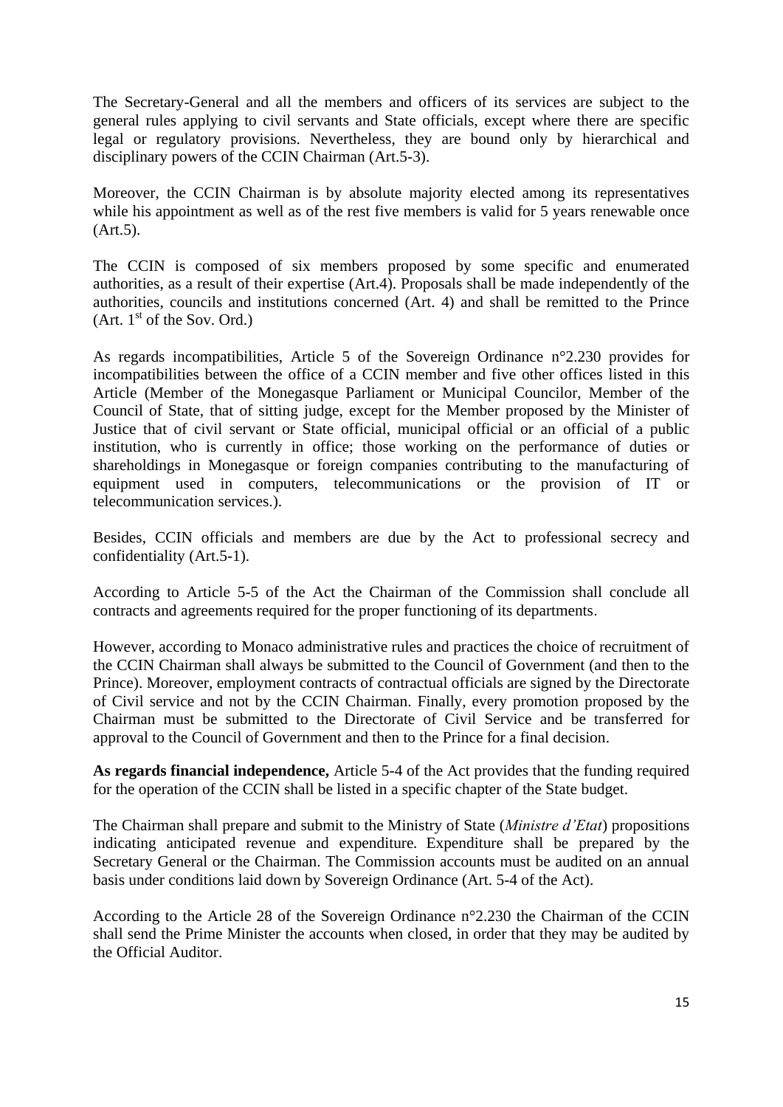The Secretary-General and all the members and officers of its services are subject to the general rules applying to civil servants and State officials, except where there are specific legal or regulatory provisions. Nevertheless, they are bound only by hierarchical and disciplinary powers of the CCIN Chairman (Art.5-3).

Moreover, the CCIN Chairman is by absolute majority elected among its representatives while his appointment as well as of the rest five members is valid for 5 years renewable once (Art.5).

The CCIN is composed of six members proposed by some specific and enumerated authorities, as a result of their expertise (Art.4). Proposals shall be made independently of the authorities, councils and institutions concerned (Art. 4) and shall be remitted to the Prince  $(Art. 1<sup>st</sup> of the Sov. Ord.)$ 

As regards incompatibilities, Article 5 of the Sovereign Ordinance n°2.230 provides for incompatibilities between the office of a CCIN member and five other offices listed in this Article (Member of the Monegasque Parliament or Municipal Councilor, Member of the Council of State, that of sitting judge, except for the Member proposed by the Minister of Justice that of civil servant or State official, municipal official or an official of a public institution, who is currently in office; those working on the performance of duties or shareholdings in Monegasque or foreign companies contributing to the manufacturing of equipment used in computers, telecommunications or the provision of IT or telecommunication services.).

Besides, CCIN officials and members are due by the Act to professional secrecy and confidentiality (Art.5-1).

According to Article 5-5 of the Act the Chairman of the Commission shall conclude all contracts and agreements required for the proper functioning of its departments.

However, according to Monaco administrative rules and practices the choice of recruitment of the CCIN Chairman shall always be submitted to the Council of Government (and then to the Prince). Moreover, employment contracts of contractual officials are signed by the Directorate of Civil service and not by the CCIN Chairman. Finally, every promotion proposed by the Chairman must be submitted to the Directorate of Civil Service and be transferred for approval to the Council of Government and then to the Prince for a final decision.

**As regards financial independence,** Article 5-4 of the Act provides that the funding required for the operation of the CCIN shall be listed in a specific chapter of the State budget.

The Chairman shall prepare and submit to the Ministry of State (*Ministre d'Etat*) propositions indicating anticipated revenue and expenditure**.** Expenditure shall be prepared by the Secretary General or the Chairman. The Commission accounts must be audited on an annual basis under conditions laid down by Sovereign Ordinance (Art. 5-4 of the Act).

According to the Article 28 of the Sovereign Ordinance  $n^{\circ}2.230$  the Chairman of the CCIN shall send the Prime Minister the accounts when closed, in order that they may be audited by the Official Auditor.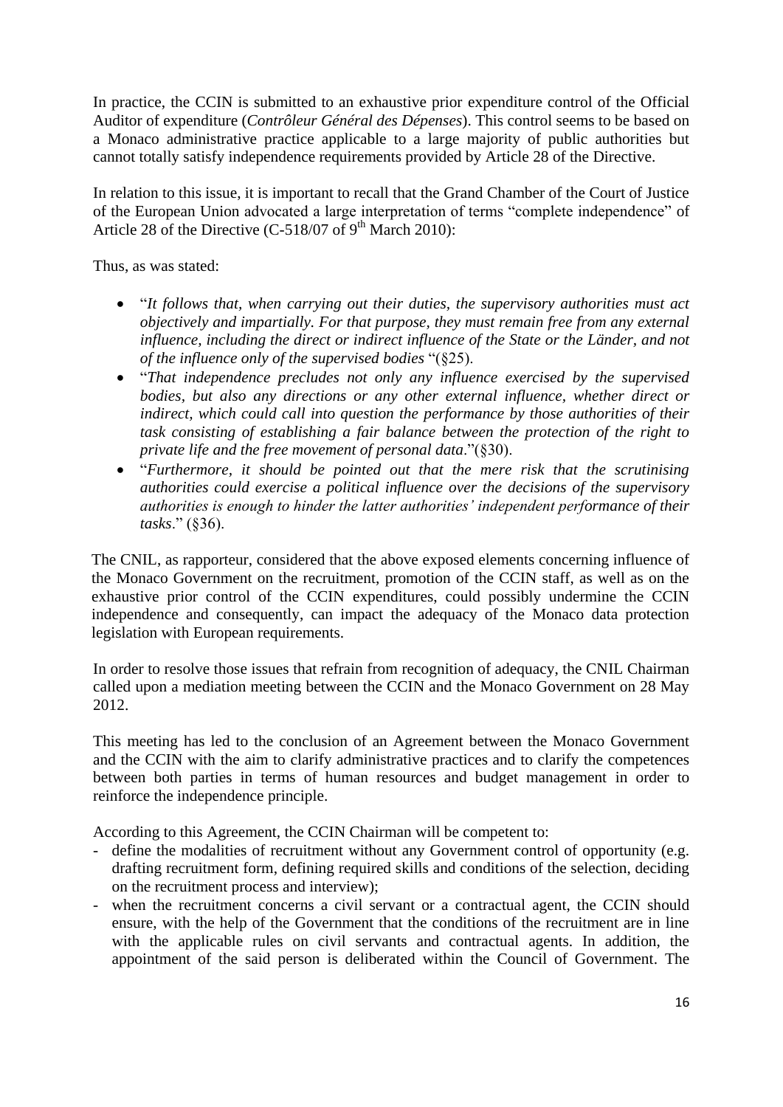In practice, the CCIN is submitted to an exhaustive prior expenditure control of the Official Auditor of expenditure (*Contrôleur Général des Dépenses*). This control seems to be based on a Monaco administrative practice applicable to a large majority of public authorities but cannot totally satisfy independence requirements provided by Article 28 of the Directive.

In relation to this issue, it is important to recall that the Grand Chamber of the Court of Justice of the European Union advocated a large interpretation of terms "complete independence" of Article 28 of the Directive (C-518/07 of  $9<sup>th</sup>$  March 2010):

Thus, as was stated:

- "*It follows that, when carrying out their duties, the supervisory authorities must act objectively and impartially. For that purpose, they must remain free from any external influence, including the direct or indirect influence of the State or the Länder, and not of the influence only of the supervised bodies* "(§25).
- "*That independence precludes not only any influence exercised by the supervised bodies, but also any directions or any other external influence, whether direct or indirect, which could call into question the performance by those authorities of their task consisting of establishing a fair balance between the protection of the right to private life and the free movement of personal data*."(§30).
- "*Furthermore, it should be pointed out that the mere risk that the scrutinising authorities could exercise a political influence over the decisions of the supervisory authorities is enough to hinder the latter authorities' independent performance of their tasks*." (§36).

The CNIL, as rapporteur, considered that the above exposed elements concerning influence of the Monaco Government on the recruitment, promotion of the CCIN staff, as well as on the exhaustive prior control of the CCIN expenditures, could possibly undermine the CCIN independence and consequently, can impact the adequacy of the Monaco data protection legislation with European requirements.

In order to resolve those issues that refrain from recognition of adequacy, the CNIL Chairman called upon a mediation meeting between the CCIN and the Monaco Government on 28 May 2012.

This meeting has led to the conclusion of an Agreement between the Monaco Government and the CCIN with the aim to clarify administrative practices and to clarify the competences between both parties in terms of human resources and budget management in order to reinforce the independence principle.

According to this Agreement, the CCIN Chairman will be competent to:

- define the modalities of recruitment without any Government control of opportunity (e.g. drafting recruitment form, defining required skills and conditions of the selection, deciding on the recruitment process and interview);
- when the recruitment concerns a civil servant or a contractual agent, the CCIN should ensure, with the help of the Government that the conditions of the recruitment are in line with the applicable rules on civil servants and contractual agents. In addition, the appointment of the said person is deliberated within the Council of Government. The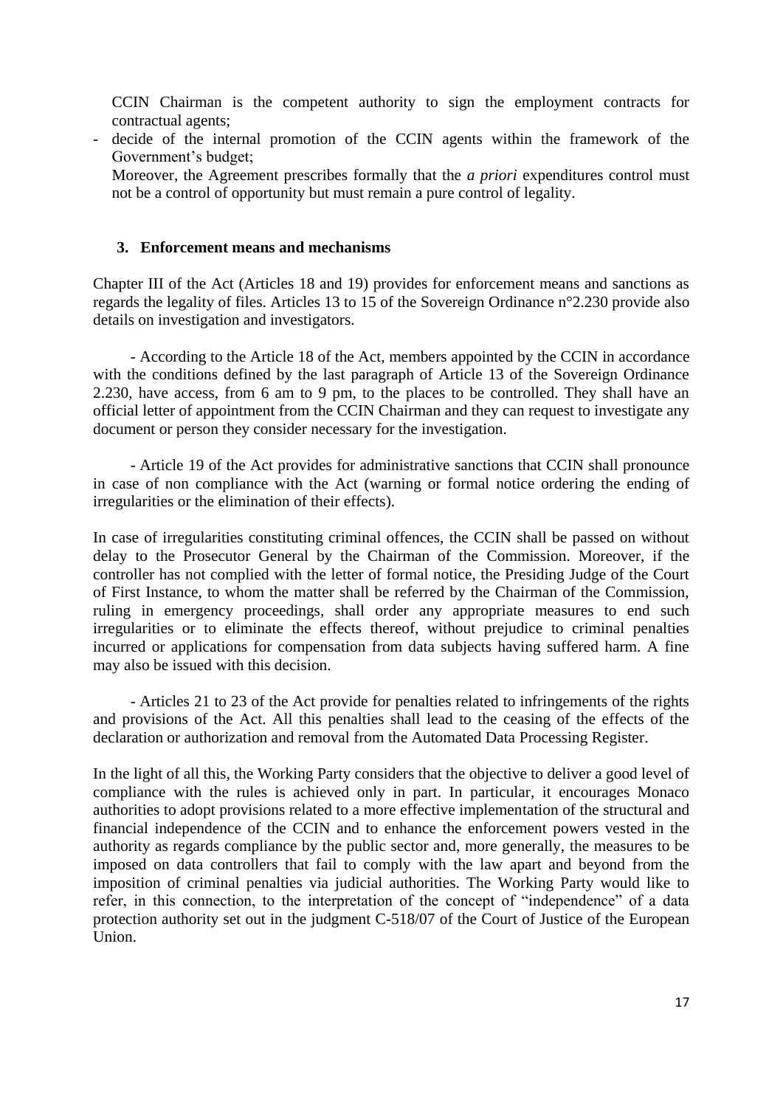CCIN Chairman is the competent authority to sign the employment contracts for contractual agents;

- decide of the internal promotion of the CCIN agents within the framework of the Government's budget;
	- Moreover, the Agreement prescribes formally that the *a priori* expenditures control must not be a control of opportunity but must remain a pure control of legality.

#### **3. Enforcement means and mechanisms**

Chapter III of the Act (Articles 18 and 19) provides for enforcement means and sanctions as regards the legality of files. Articles 13 to 15 of the Sovereign Ordinance n°2.230 provide also details on investigation and investigators.

- According to the Article 18 of the Act, members appointed by the CCIN in accordance with the conditions defined by the last paragraph of Article 13 of the Sovereign Ordinance 2.230, have access, from 6 am to 9 pm, to the places to be controlled. They shall have an official letter of appointment from the CCIN Chairman and they can request to investigate any document or person they consider necessary for the investigation.

- Article 19 of the Act provides for administrative sanctions that CCIN shall pronounce in case of non compliance with the Act (warning or formal notice ordering the ending of irregularities or the elimination of their effects).

In case of irregularities constituting criminal offences, the CCIN shall be passed on without delay to the Prosecutor General by the Chairman of the Commission. Moreover, if the controller has not complied with the letter of formal notice, the Presiding Judge of the Court of First Instance, to whom the matter shall be referred by the Chairman of the Commission, ruling in emergency proceedings, shall order any appropriate measures to end such irregularities or to eliminate the effects thereof, without prejudice to criminal penalties incurred or applications for compensation from data subjects having suffered harm. A fine may also be issued with this decision.

- Articles 21 to 23 of the Act provide for penalties related to infringements of the rights and provisions of the Act. All this penalties shall lead to the ceasing of the effects of the declaration or authorization and removal from the Automated Data Processing Register.

In the light of all this, the Working Party considers that the objective to deliver a good level of compliance with the rules is achieved only in part. In particular, it encourages Monaco authorities to adopt provisions related to a more effective implementation of the structural and financial independence of the CCIN and to enhance the enforcement powers vested in the authority as regards compliance by the public sector and, more generally, the measures to be imposed on data controllers that fail to comply with the law apart and beyond from the imposition of criminal penalties via judicial authorities. The Working Party would like to refer, in this connection, to the interpretation of the concept of "independence" of a data protection authority set out in the judgment C-518/07 of the Court of Justice of the European Union.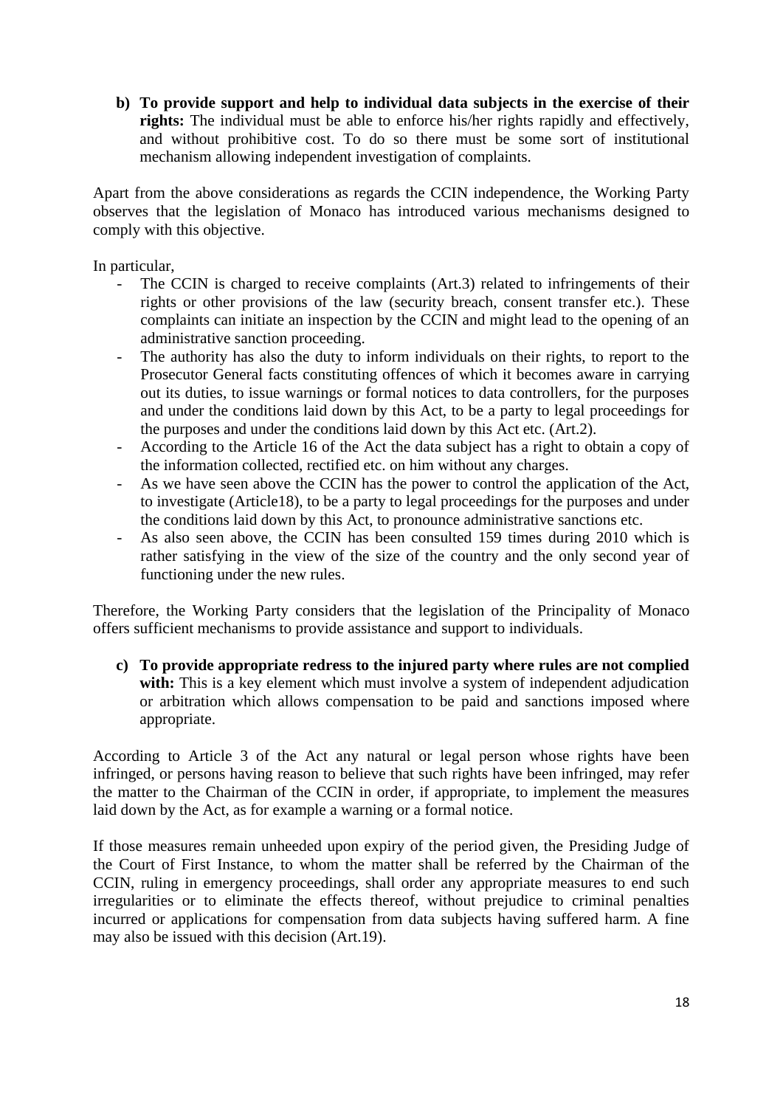**b) To provide support and help to individual data subjects in the exercise of their rights:** The individual must be able to enforce his/her rights rapidly and effectively, and without prohibitive cost. To do so there must be some sort of institutional mechanism allowing independent investigation of complaints.

Apart from the above considerations as regards the CCIN independence, the Working Party observes that the legislation of Monaco has introduced various mechanisms designed to comply with this objective.

In particular,

- The CCIN is charged to receive complaints (Art.3) related to infringements of their rights or other provisions of the law (security breach, consent transfer etc.). These complaints can initiate an inspection by the CCIN and might lead to the opening of an administrative sanction proceeding.
- The authority has also the duty to inform individuals on their rights, to report to the Prosecutor General facts constituting offences of which it becomes aware in carrying out its duties, to issue warnings or formal notices to data controllers, for the purposes and under the conditions laid down by this Act, to be a party to legal proceedings for the purposes and under the conditions laid down by this Act etc. (Art.2).
- According to the Article 16 of the Act the data subject has a right to obtain a copy of the information collected, rectified etc. on him without any charges.
- As we have seen above the CCIN has the power to control the application of the Act, to investigate (Article18), to be a party to legal proceedings for the purposes and under the conditions laid down by this Act, to pronounce administrative sanctions etc.
- As also seen above, the CCIN has been consulted 159 times during 2010 which is rather satisfying in the view of the size of the country and the only second year of functioning under the new rules.

Therefore, the Working Party considers that the legislation of the Principality of Monaco offers sufficient mechanisms to provide assistance and support to individuals.

**c) To provide appropriate redress to the injured party where rules are not complied**  with: This is a key element which must involve a system of independent adjudication or arbitration which allows compensation to be paid and sanctions imposed where appropriate.

According to Article 3 of the Act any natural or legal person whose rights have been infringed, or persons having reason to believe that such rights have been infringed, may refer the matter to the Chairman of the CCIN in order, if appropriate, to implement the measures laid down by the Act, as for example a warning or a formal notice.

If those measures remain unheeded upon expiry of the period given, the Presiding Judge of the Court of First Instance, to whom the matter shall be referred by the Chairman of the CCIN, ruling in emergency proceedings, shall order any appropriate measures to end such irregularities or to eliminate the effects thereof, without prejudice to criminal penalties incurred or applications for compensation from data subjects having suffered harm. A fine may also be issued with this decision (Art.19).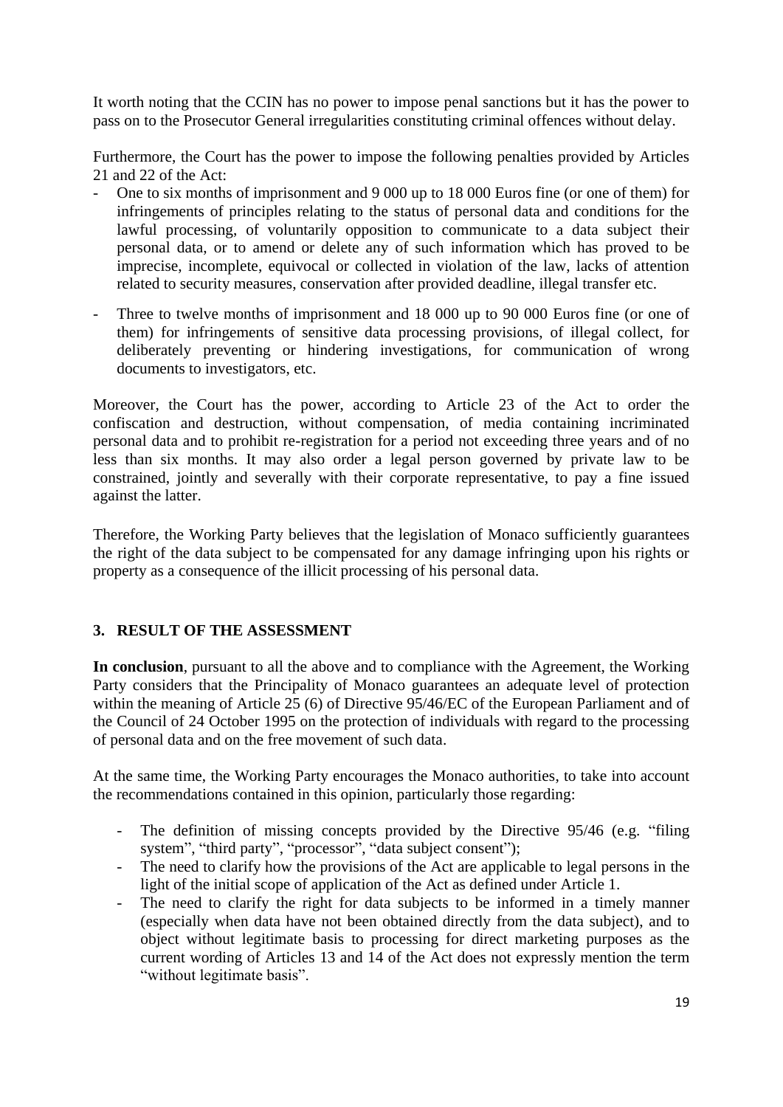It worth noting that the CCIN has no power to impose penal sanctions but it has the power to pass on to the Prosecutor General irregularities constituting criminal offences without delay.

Furthermore, the Court has the power to impose the following penalties provided by Articles 21 and 22 of the Act:

- One to six months of imprisonment and 9 000 up to 18 000 Euros fine (or one of them) for infringements of principles relating to the status of personal data and conditions for the lawful processing, of voluntarily opposition to communicate to a data subject their personal data, or to amend or delete any of such information which has proved to be imprecise, incomplete, equivocal or collected in violation of the law, lacks of attention related to security measures, conservation after provided deadline, illegal transfer etc.
- Three to twelve months of imprisonment and 18 000 up to 90 000 Euros fine (or one of them) for infringements of sensitive data processing provisions, of illegal collect, for deliberately preventing or hindering investigations, for communication of wrong documents to investigators, etc.

Moreover, the Court has the power, according to Article 23 of the Act to order the confiscation and destruction, without compensation, of media containing incriminated personal data and to prohibit re-registration for a period not exceeding three years and of no less than six months. It may also order a legal person governed by private law to be constrained, jointly and severally with their corporate representative, to pay a fine issued against the latter.

Therefore, the Working Party believes that the legislation of Monaco sufficiently guarantees the right of the data subject to be compensated for any damage infringing upon his rights or property as a consequence of the illicit processing of his personal data.

## **3. RESULT OF THE ASSESSMENT**

**In conclusion**, pursuant to all the above and to compliance with the Agreement, the Working Party considers that the Principality of Monaco guarantees an adequate level of protection within the meaning of Article 25 (6) of Directive 95/46/EC of the European Parliament and of the Council of 24 October 1995 on the protection of individuals with regard to the processing of personal data and on the free movement of such data.

At the same time, the Working Party encourages the Monaco authorities, to take into account the recommendations contained in this opinion, particularly those regarding:

- The definition of missing concepts provided by the Directive 95/46 (e.g. "filing system", "third party", "processor", "data subject consent");
- The need to clarify how the provisions of the Act are applicable to legal persons in the light of the initial scope of application of the Act as defined under Article 1.
- The need to clarify the right for data subjects to be informed in a timely manner (especially when data have not been obtained directly from the data subject), and to object without legitimate basis to processing for direct marketing purposes as the current wording of Articles 13 and 14 of the Act does not expressly mention the term "without legitimate basis".